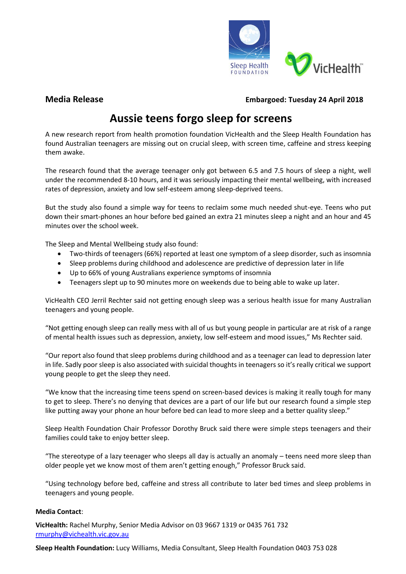

**Media Release Embargoed: Tuesday 24 April 2018**

# **Aussie teens forgo sleep for screens**

A new research report from health promotion foundation VicHealth and the Sleep Health Foundation has found Australian teenagers are missing out on crucial sleep, with screen time, caffeine and stress keeping them awake.

The research found that the average teenager only got between 6.5 and 7.5 hours of sleep a night, well under the recommended 8-10 hours, and it was seriously impacting their mental wellbeing, with increased rates of depression, anxiety and low self-esteem among sleep-deprived teens.

But the study also found a simple way for teens to reclaim some much needed shut-eye. Teens who put down their smart-phones an hour before bed gained an extra 21 minutes sleep a night and an hour and 45 minutes over the school week.

The Sleep and Mental Wellbeing study also found:

- Two-thirds of teenagers (66%) reported at least one symptom of a sleep disorder, such as insomnia
- Sleep problems during childhood and adolescence are predictive of depression later in life
- Up to 66% of young Australians experience symptoms of insomnia
- Teenagers slept up to 90 minutes more on weekends due to being able to wake up later.

VicHealth CEO Jerril Rechter said not getting enough sleep was a serious health issue for many Australian teenagers and young people.

"Not getting enough sleep can really mess with all of us but young people in particular are at risk of a range of mental health issues such as depression, anxiety, low self-esteem and mood issues," Ms Rechter said.

"Our report also found that sleep problems during childhood and as a teenager can lead to depression later in life. Sadly poor sleep is also associated with suicidal thoughts in teenagers so it's really critical we support young people to get the sleep they need.

"We know that the increasing time teens spend on screen-based devices is making it really tough for many to get to sleep. There's no denying that devices are a part of our life but our research found a simple step like putting away your phone an hour before bed can lead to more sleep and a better quality sleep."

Sleep Health Foundation Chair Professor Dorothy Bruck said there were simple steps teenagers and their families could take to enjoy better sleep.

"The stereotype of a lazy teenager who sleeps all day is actually an anomaly – teens need more sleep than older people yet we know most of them aren't getting enough," Professor Bruck said.

"Using technology before bed, caffeine and stress all contribute to later bed times and sleep problems in teenagers and young people.

#### **Media Contact**:

**VicHealth:** Rachel Murphy, Senior Media Advisor on 03 9667 1319 or 0435 761 732 [rmurphy@vichealth.vic.gov.au](mailto:rmurphy@vichealth.vic.gov.au)

**Sleep Health Foundation:** Lucy Williams, Media Consultant, Sleep Health Foundation 0403 753 028